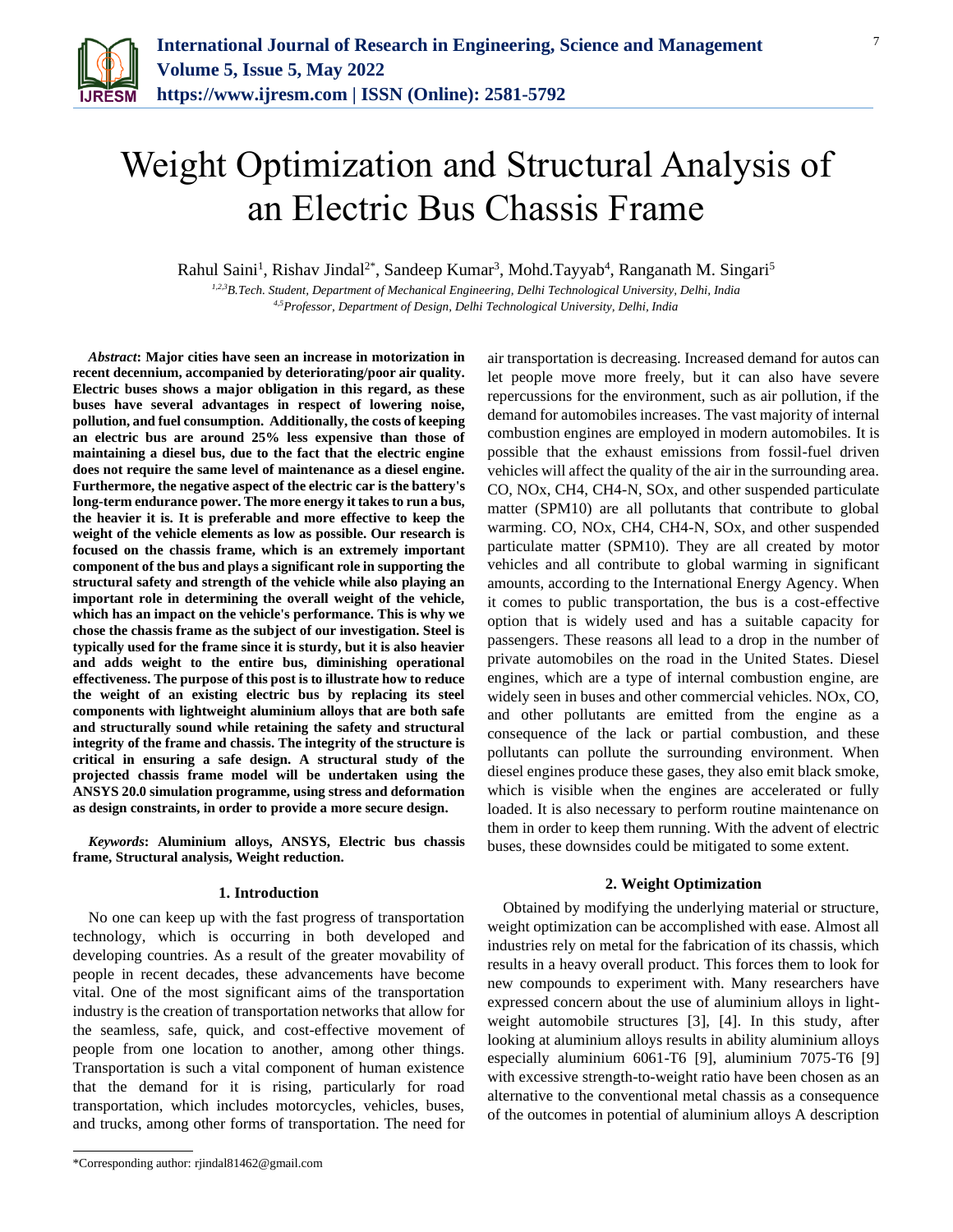

# Weight Optimization and Structural Analysis of an Electric Bus Chassis Frame

Rahul Saini<sup>1</sup>, Rishav Jindal<sup>2\*</sup>, Sandeep Kumar<sup>3</sup>, Mohd.Tayyab<sup>4</sup>, Ranganath M. Singari<sup>5</sup>

*1,2,3B.Tech. Student, Department of Mechanical Engineering, Delhi Technological University, Delhi, India 4,5Professor, Department of Design, Delhi Technological University, Delhi, India*

*Abstract***: Major cities have seen an increase in motorization in recent decennium, accompanied by deteriorating/poor air quality. Electric buses shows a major obligation in this regard, as these buses have several advantages in respect of lowering noise, pollution, and fuel consumption. Additionally, the costs of keeping an electric bus are around 25% less expensive than those of maintaining a diesel bus, due to the fact that the electric engine does not require the same level of maintenance as a diesel engine. Furthermore, the negative aspect of the electric car is the battery's long-term endurance power. The more energy it takes to run a bus, the heavier it is. It is preferable and more effective to keep the weight of the vehicle elements as low as possible. Our research is focused on the chassis frame, which is an extremely important component of the bus and plays a significant role in supporting the structural safety and strength of the vehicle while also playing an important role in determining the overall weight of the vehicle, which has an impact on the vehicle's performance. This is why we chose the chassis frame as the subject of our investigation. Steel is typically used for the frame since it is sturdy, but it is also heavier and adds weight to the entire bus, diminishing operational effectiveness. The purpose of this post is to illustrate how to reduce the weight of an existing electric bus by replacing its steel components with lightweight aluminium alloys that are both safe and structurally sound while retaining the safety and structural integrity of the frame and chassis. The integrity of the structure is critical in ensuring a safe design. A structural study of the projected chassis frame model will be undertaken using the ANSYS 20.0 simulation programme, using stress and deformation as design constraints, in order to provide a more secure design.**

*Keywords***: Aluminium alloys, ANSYS, Electric bus chassis frame, Structural analysis, Weight reduction.**

#### **1. Introduction**

No one can keep up with the fast progress of transportation technology, which is occurring in both developed and developing countries. As a result of the greater movability of people in recent decades, these advancements have become vital. One of the most significant aims of the transportation industry is the creation of transportation networks that allow for the seamless, safe, quick, and cost-effective movement of people from one location to another, among other things. Transportation is such a vital component of human existence that the demand for it is rising, particularly for road transportation, which includes motorcycles, vehicles, buses, and trucks, among other forms of transportation. The need for

air transportation is decreasing. Increased demand for autos can let people move more freely, but it can also have severe repercussions for the environment, such as air pollution, if the demand for automobiles increases. The vast majority of internal combustion engines are employed in modern automobiles. It is possible that the exhaust emissions from fossil-fuel driven vehicles will affect the quality of the air in the surrounding area. CO, NOx, CH4, CH4-N, SOx, and other suspended particulate matter (SPM10) are all pollutants that contribute to global warming. CO, NOx, CH4, CH4-N, SOx, and other suspended particulate matter (SPM10). They are all created by motor vehicles and all contribute to global warming in significant amounts, according to the International Energy Agency. When it comes to public transportation, the bus is a cost-effective option that is widely used and has a suitable capacity for passengers. These reasons all lead to a drop in the number of private automobiles on the road in the United States. Diesel engines, which are a type of internal combustion engine, are widely seen in buses and other commercial vehicles. NOx, CO, and other pollutants are emitted from the engine as a consequence of the lack or partial combustion, and these pollutants can pollute the surrounding environment. When diesel engines produce these gases, they also emit black smoke, which is visible when the engines are accelerated or fully loaded. It is also necessary to perform routine maintenance on them in order to keep them running. With the advent of electric buses, these downsides could be mitigated to some extent.

## **2. Weight Optimization**

Obtained by modifying the underlying material or structure, weight optimization can be accomplished with ease. Almost all industries rely on metal for the fabrication of its chassis, which results in a heavy overall product. This forces them to look for new compounds to experiment with. Many researchers have expressed concern about the use of aluminium alloys in lightweight automobile structures [3], [4]. In this study, after looking at aluminium alloys results in ability aluminium alloys especially aluminium 6061-T6 [9], aluminium 7075-T6 [9] with excessive strength-to-weight ratio have been chosen as an alternative to the conventional metal chassis as a consequence of the outcomes in potential of aluminium alloys A description

<sup>\*</sup>Corresponding author: rjindal81462@gmail.com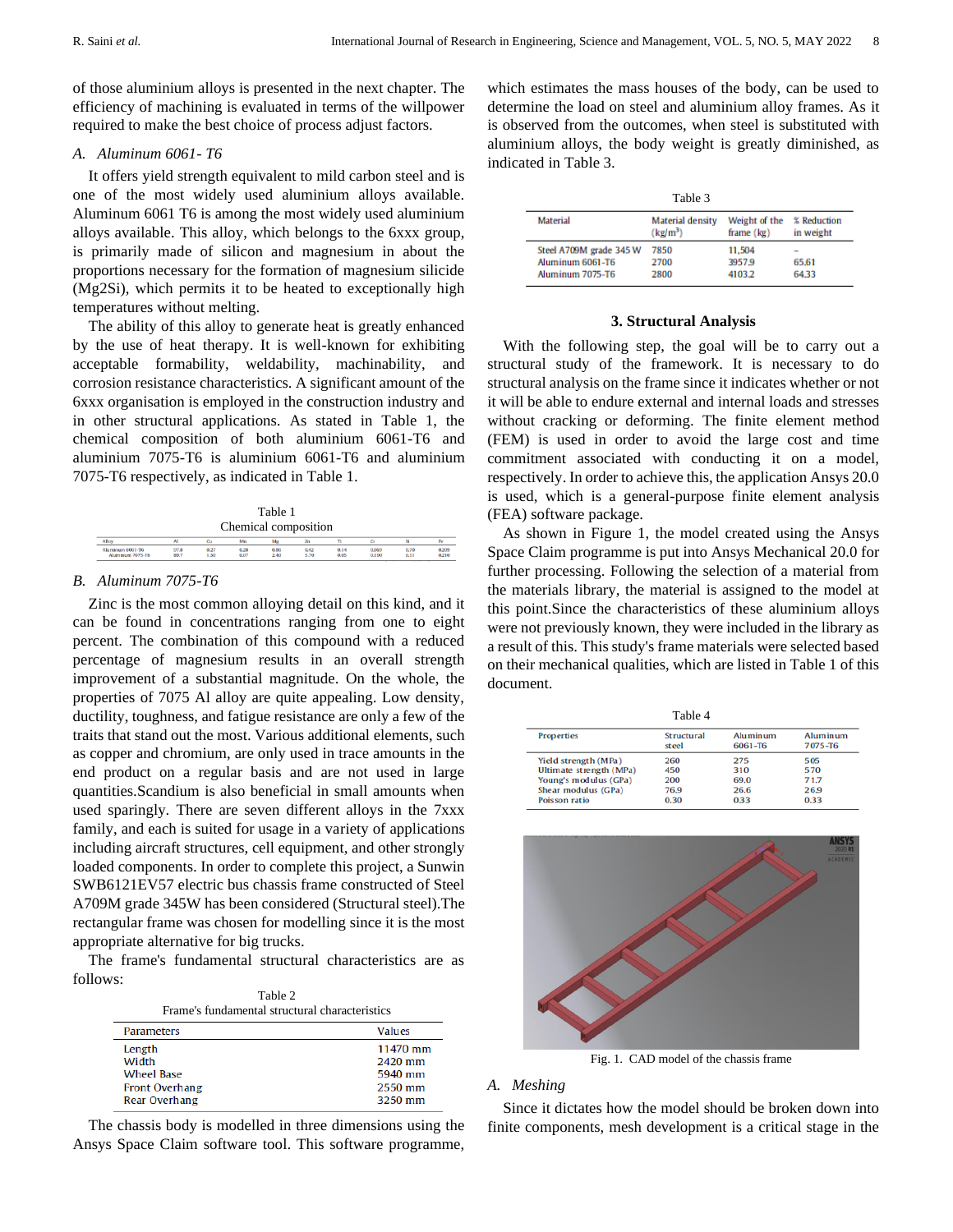of those aluminium alloys is presented in the next chapter. The efficiency of machining is evaluated in terms of the willpower required to make the best choice of process adjust factors.

## *A. Aluminum 6061- T6*

It offers yield strength equivalent to mild carbon steel and is one of the most widely used aluminium alloys available. Aluminum 6061 T6 is among the most widely used aluminium alloys available. This alloy, which belongs to the 6xxx group, is primarily made of silicon and magnesium in about the proportions necessary for the formation of magnesium silicide (Mg2Si), which permits it to be heated to exceptionally high temperatures without melting.

The ability of this alloy to generate heat is greatly enhanced by the use of heat therapy. It is well-known for exhibiting acceptable formability, weldability, machinability, and corrosion resistance characteristics. A significant amount of the 6xxx organisation is employed in the construction industry and in other structural applications. As stated in Table 1, the chemical composition of both aluminium 6061-T6 and aluminium 7075-T6 is aluminium 6061-T6 and aluminium 7075-T6 respectively, as indicated in Table 1.

| Table 1<br>Chemical composition             |              |              |              |              |              |              |                |              |                |
|---------------------------------------------|--------------|--------------|--------------|--------------|--------------|--------------|----------------|--------------|----------------|
| Alloy                                       | AI           | Cu           | Mn           | Me           |              |              | G              |              | Fe             |
| Aluminum 6061-T6<br><b>Aluminum 7075-T6</b> | 97.8<br>89.7 | 0.27<br>1.50 | 0.28<br>0.07 | 0.86<br>2.40 | 0.42<br>5.70 | 0.14<br>0.05 | 0.069<br>0.190 | 0.70<br>0.11 | 0.209<br>0.210 |

## *B. Aluminum 7075-T6*

Zinc is the most common alloying detail on this kind, and it can be found in concentrations ranging from one to eight percent. The combination of this compound with a reduced percentage of magnesium results in an overall strength improvement of a substantial magnitude. On the whole, the properties of 7075 Al alloy are quite appealing. Low density, ductility, toughness, and fatigue resistance are only a few of the traits that stand out the most. Various additional elements, such as copper and chromium, are only used in trace amounts in the end product on a regular basis and are not used in large quantities.Scandium is also beneficial in small amounts when used sparingly. There are seven different alloys in the 7xxx family, and each is suited for usage in a variety of applications including aircraft structures, cell equipment, and other strongly loaded components. In order to complete this project, a Sunwin SWB6121EV57 electric bus chassis frame constructed of Steel A709M grade 345W has been considered (Structural steel).The rectangular frame was chosen for modelling since it is the most appropriate alternative for big trucks.

The frame's fundamental structural characteristics are as follows:

| Table 2<br>Frame's fundamental structural characteristics |          |  |  |
|-----------------------------------------------------------|----------|--|--|
| <b>Parameters</b>                                         | Values   |  |  |
| Length                                                    | 11470 mm |  |  |
| Width                                                     | 2420 mm  |  |  |
| <b>Wheel Base</b>                                         | 5940 mm  |  |  |
| Front Overhang                                            | 2550 mm  |  |  |
| <b>Rear Overhang</b>                                      | 3250 mm  |  |  |

The chassis body is modelled in three dimensions using the Ansys Space Claim software tool. This software programme,

which estimates the mass houses of the body, can be used to determine the load on steel and aluminium alloy frames. As it is observed from the outcomes, when steel is substituted with aluminium alloys, the body weight is greatly diminished, as indicated in Table 3.

| Table 3                 |                                                           |                               |                          |  |
|-------------------------|-----------------------------------------------------------|-------------------------------|--------------------------|--|
| <b>Material</b>         | <b>Material density</b><br>$\frac{\text{kg}}{\text{m}^3}$ | Weight of the<br>frame $(kg)$ | % Reduction<br>in weight |  |
| Steel A709M grade 345 W | 7850                                                      | 11.504                        |                          |  |
| Aluminum 6061-T6        | 2700                                                      | 3957.9                        | 65.61                    |  |
| Aluminum 7075-T6        | 2800                                                      | 4103.2                        | 64.33                    |  |

### **3. Structural Analysis**

With the following step, the goal will be to carry out a structural study of the framework. It is necessary to do structural analysis on the frame since it indicates whether or not it will be able to endure external and internal loads and stresses without cracking or deforming. The finite element method (FEM) is used in order to avoid the large cost and time commitment associated with conducting it on a model, respectively. In order to achieve this, the application Ansys 20.0 is used, which is a general-purpose finite element analysis (FEA) software package.

As shown in Figure 1, the model created using the Ansys Space Claim programme is put into Ansys Mechanical 20.0 for further processing. Following the selection of a material from the materials library, the material is assigned to the model at this point.Since the characteristics of these aluminium alloys were not previously known, they were included in the library as a result of this. This study's frame materials were selected based on their mechanical qualities, which are listed in Table 1 of this document.

| Table 4                 |                            |                     |                     |
|-------------------------|----------------------------|---------------------|---------------------|
| Properties              | <b>Structural</b><br>steel | Aluminum<br>6061-T6 | Aluminum<br>7075-T6 |
| Yield strength (MPa)    | 260                        | 275                 | 505                 |
| Ultimate strength (MPa) | 450                        | 310                 | 570                 |
| Young's modulus (GPa)   | 200                        | 69.0                | 71.7                |
| Shear modulus (GPa)     | 76.9                       | 26.6                | 26.9                |
| Poisson ratio           | 0.30                       | 0.33                | 0.33                |



Fig. 1. CAD model of the chassis frame

# *A. Meshing*

Since it dictates how the model should be broken down into finite components, mesh development is a critical stage in the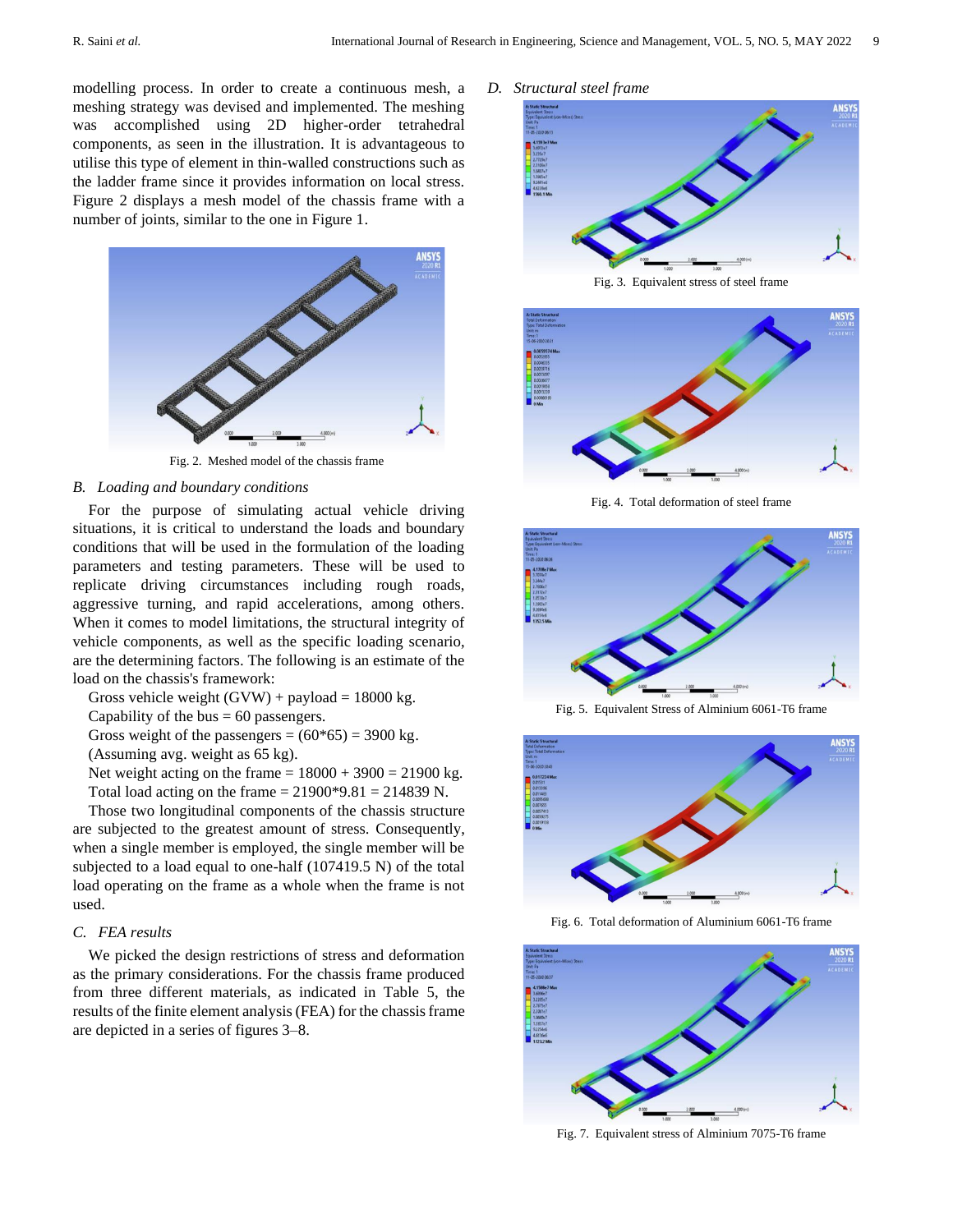modelling process. In order to create a continuous mesh, a meshing strategy was devised and implemented. The meshing was accomplished using 2D higher-order tetrahedral components, as seen in the illustration. It is advantageous to utilise this type of element in thin-walled constructions such as the ladder frame since it provides information on local stress. Figure 2 displays a mesh model of the chassis frame with a number of joints, similar to the one in Figure 1.



Fig. 2. Meshed model of the chassis frame

## *B. Loading and boundary conditions*

For the purpose of simulating actual vehicle driving situations, it is critical to understand the loads and boundary conditions that will be used in the formulation of the loading parameters and testing parameters. These will be used to replicate driving circumstances including rough roads, aggressive turning, and rapid accelerations, among others. When it comes to model limitations, the structural integrity of vehicle components, as well as the specific loading scenario, are the determining factors. The following is an estimate of the load on the chassis's framework:

Gross vehicle weight  $(GVW) + payload = 18000 kg$ .

Capability of the bus  $= 60$  passengers.

Gross weight of the passengers =  $(60*65) = 3900$  kg.

(Assuming avg. weight as 65 kg).

Net weight acting on the frame  $= 18000 + 3900 = 21900$  kg. Total load acting on the frame  $= 21900*9.81 = 214839$  N.

Those two longitudinal components of the chassis structure are subjected to the greatest amount of stress. Consequently, when a single member is employed, the single member will be subjected to a load equal to one-half (107419.5 N) of the total load operating on the frame as a whole when the frame is not used.

# *C. FEA results*

We picked the design restrictions of stress and deformation as the primary considerations. For the chassis frame produced from three different materials, as indicated in Table 5, the results of the finite element analysis (FEA) for the chassis frame are depicted in a series of figures 3–8.

#### *D. Structural steel frame*



Fig. 3. Equivalent stress of steel frame



Fig. 4. Total deformation of steel frame



Fig. 5. Equivalent Stress of Alminium 6061-T6 frame



Fig. 6. Total deformation of Aluminium 6061-T6 frame



Fig. 7. Equivalent stress of Alminium 7075-T6 frame